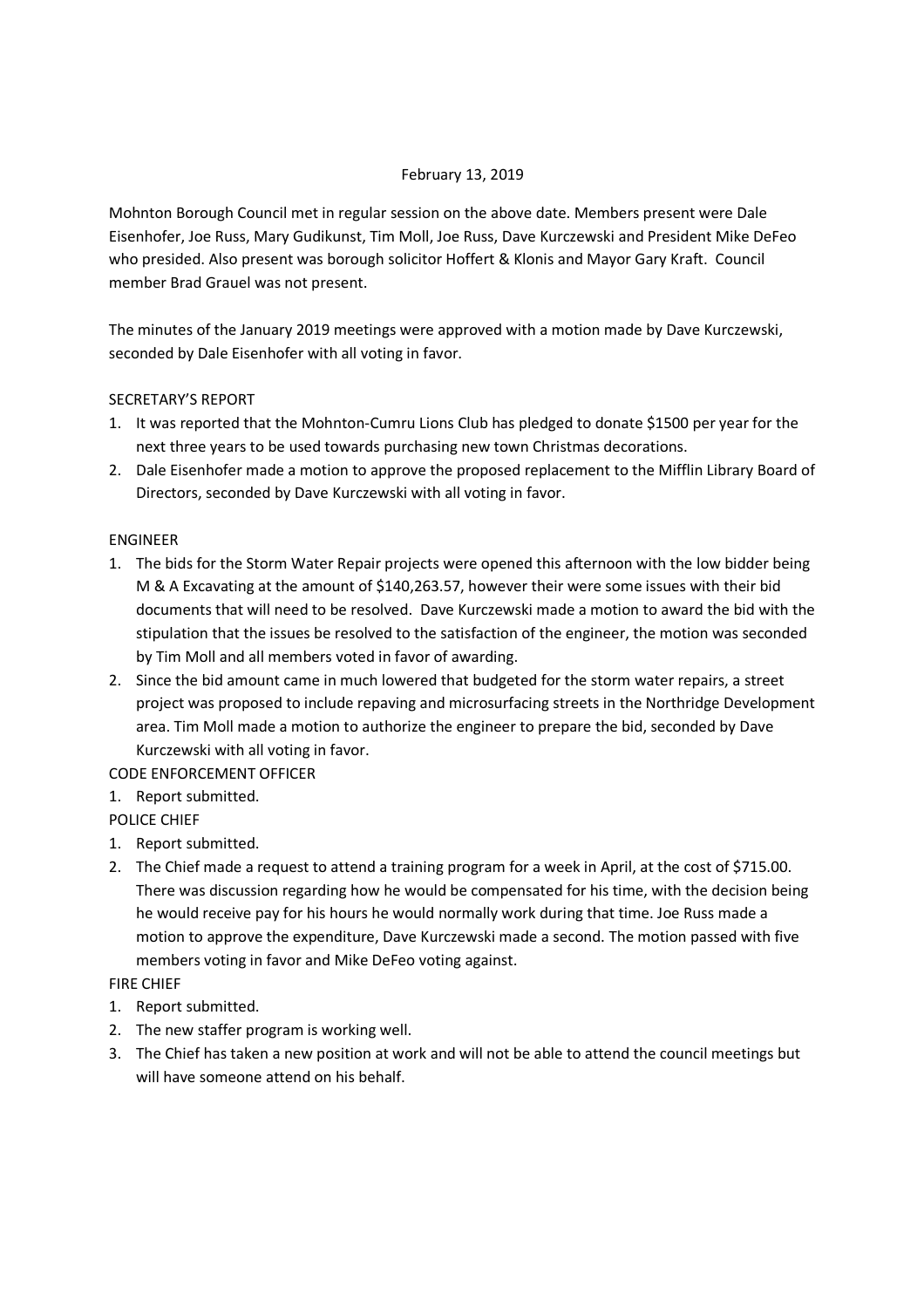# February 13, 2019

Mohnton Borough Council met in regular session on the above date. Members present were Dale Eisenhofer, Joe Russ, Mary Gudikunst, Tim Moll, Joe Russ, Dave Kurczewski and President Mike DeFeo who presided. Also present was borough solicitor Hoffert & Klonis and Mayor Gary Kraft. Council member Brad Grauel was not present.

The minutes of the January 2019 meetings were approved with a motion made by Dave Kurczewski, seconded by Dale Eisenhofer with all voting in favor.

# SECRETARY'S REPORT

- 1. It was reported that the Mohnton-Cumru Lions Club has pledged to donate \$1500 per year for the next three years to be used towards purchasing new town Christmas decorations.
- 2. Dale Eisenhofer made a motion to approve the proposed replacement to the Mifflin Library Board of Directors, seconded by Dave Kurczewski with all voting in favor.

# **FNGINFFR**

- 1. The bids for the Storm Water Repair projects were opened this afternoon with the low bidder being M & A Excavating at the amount of \$140,263.57, however their were some issues with their bid documents that will need to be resolved. Dave Kurczewski made a motion to award the bid with the stipulation that the issues be resolved to the satisfaction of the engineer, the motion was seconded by Tim Moll and all members voted in favor of awarding.
- 2. Since the bid amount came in much lowered that budgeted for the storm water repairs, a street project was proposed to include repaving and microsurfacing streets in the Northridge Development area. Tim Moll made a motion to authorize the engineer to prepare the bid, seconded by Dave Kurczewski with all voting in favor.

# CODE ENFORCEMENT OFFICER

1. Report submitted.

# POLICE CHIEF

- 1. Report submitted.
- 2. The Chief made a request to attend a training program for a week in April, at the cost of \$715.00. There was discussion regarding how he would be compensated for his time, with the decision being he would receive pay for his hours he would normally work during that time. Joe Russ made a motion to approve the expenditure, Dave Kurczewski made a second. The motion passed with five members voting in favor and Mike DeFeo voting against.

## FIRE CHIEF

- 1. Report submitted.
- 2. The new staffer program is working well.
- 3. The Chief has taken a new position at work and will not be able to attend the council meetings but will have someone attend on his behalf.